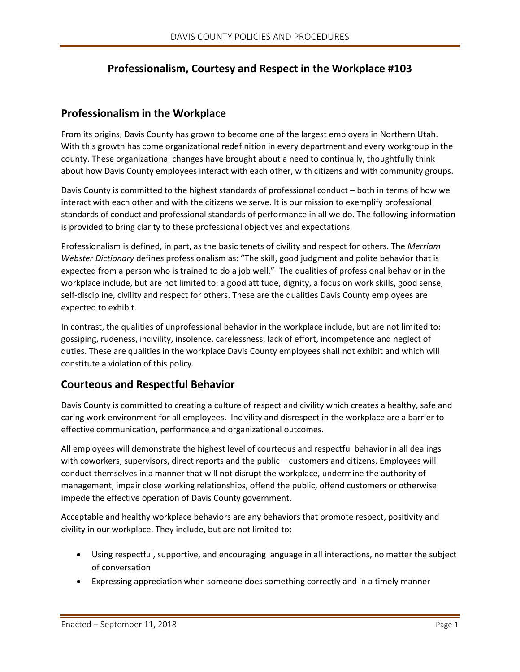# **Professionalism, Courtesy and Respect in the Workplace #103**

## **Professionalism in the Workplace**

From its origins, Davis County has grown to become one of the largest employers in Northern Utah. With this growth has come organizational redefinition in every department and every workgroup in the county. These organizational changes have brought about a need to continually, thoughtfully think about how Davis County employees interact with each other, with citizens and with community groups.

Davis County is committed to the highest standards of professional conduct – both in terms of how we interact with each other and with the citizens we serve. It is our mission to exemplify professional standards of conduct and professional standards of performance in all we do. The following information is provided to bring clarity to these professional objectives and expectations.

Professionalism is defined, in part, as the basic tenets of civility and respect for others. The *Merriam Webster Dictionary* defines professionalism as: "The skill, good judgment and polite behavior that is expected from a person who is trained to do a job well." The qualities of professional behavior in the workplace include, but are not limited to: a good attitude, dignity, a focus on work skills, good sense, self-discipline, civility and respect for others. These are the qualities Davis County employees are expected to exhibit.

In contrast, the qualities of unprofessional behavior in the workplace include, but are not limited to: gossiping, rudeness, incivility, insolence, carelessness, lack of effort, incompetence and neglect of duties. These are qualities in the workplace Davis County employees shall not exhibit and which will constitute a violation of this policy.

## **Courteous and Respectful Behavior**

Davis County is committed to creating a culture of respect and civility which creates a healthy, safe and caring work environment for all employees. Incivility and disrespect in the workplace are a barrier to effective communication, performance and organizational outcomes.

All employees will demonstrate the highest level of courteous and respectful behavior in all dealings with coworkers, supervisors, direct reports and the public – customers and citizens. Employees will conduct themselves in a manner that will not disrupt the workplace, undermine the authority of management, impair close working relationships, offend the public, offend customers or otherwise impede the effective operation of Davis County government.

Acceptable and healthy workplace behaviors are any behaviors that promote respect, positivity and civility in our workplace. They include, but are not limited to:

- Using respectful, supportive, and encouraging language in all interactions, no matter the subject of conversation
- Expressing appreciation when someone does something correctly and in a timely manner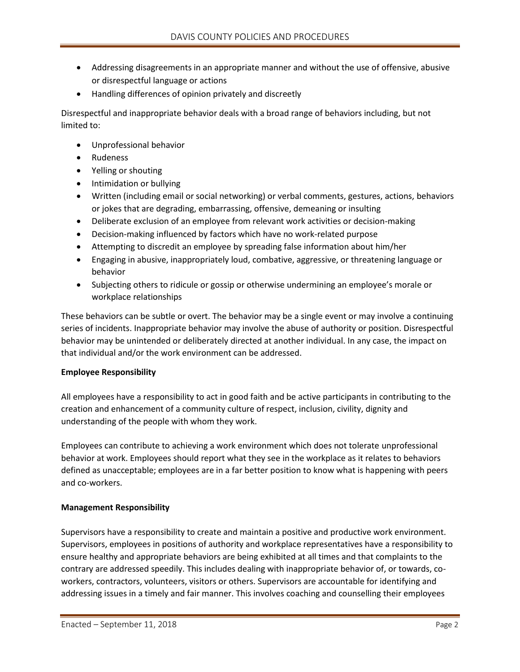- Addressing disagreements in an appropriate manner and without the use of offensive, abusive or disrespectful language or actions
- Handling differences of opinion privately and discreetly

Disrespectful and inappropriate behavior deals with a broad range of behaviors including, but not limited to:

- Unprofessional behavior
- Rudeness
- Yelling or shouting
- Intimidation or bullying
- Written (including email or social networking) or verbal comments, gestures, actions, behaviors or jokes that are degrading, embarrassing, offensive, demeaning or insulting
- Deliberate exclusion of an employee from relevant work activities or decision-making
- Decision-making influenced by factors which have no work-related purpose
- Attempting to discredit an employee by spreading false information about him/her
- Engaging in abusive, inappropriately loud, combative, aggressive, or threatening language or behavior
- Subjecting others to ridicule or gossip or otherwise undermining an employee's morale or workplace relationships

These behaviors can be subtle or overt. The behavior may be a single event or may involve a continuing series of incidents. Inappropriate behavior may involve the abuse of authority or position. Disrespectful behavior may be unintended or deliberately directed at another individual. In any case, the impact on that individual and/or the work environment can be addressed.

### **Employee Responsibility**

All employees have a responsibility to act in good faith and be active participants in contributing to the creation and enhancement of a community culture of respect, inclusion, civility, dignity and understanding of the people with whom they work.

Employees can contribute to achieving a work environment which does not tolerate unprofessional behavior at work. Employees should report what they see in the workplace as it relates to behaviors defined as unacceptable; employees are in a far better position to know what is happening with peers and co-workers.

### **Management Responsibility**

Supervisors have a responsibility to create and maintain a positive and productive work environment. Supervisors, employees in positions of authority and workplace representatives have a responsibility to ensure healthy and appropriate behaviors are being exhibited at all times and that complaints to the contrary are addressed speedily. This includes dealing with inappropriate behavior of, or towards, coworkers, contractors, volunteers, visitors or others. Supervisors are accountable for identifying and addressing issues in a timely and fair manner. This involves coaching and counselling their employees